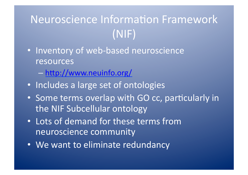## Neuroscience Information Framework  $(NIF)$

- · Inventory of web-based neuroscience resources
	- http://www.neuinfo.org/
- Includes a large set of ontologies
- Some terms overlap with GO cc, particularly in the NIF Subcellular ontology
- . Lots of demand for these terms from neuroscience community
- We want to eliminate redundancy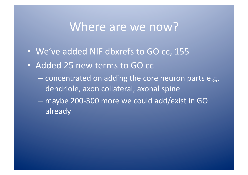## Where are we now?

- We've added NIF dbxrefs to GO cc, 155
- Added 25 new terms to GO cc
	- concentrated on adding the core neuron parts e.g. dendriole, axon collateral, axonal spine
	- maybe 200-300 more we could add/exist in GO already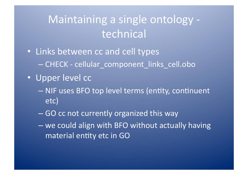## Maintaining a single ontology technical

- Links between cc and cell types - CHECK - cellular component links cell.obo
- · Upper level cc
	- NIF uses BFO top level terms (entity, continuent etc)
	- GO cc not currently organized this way
	- we could align with BFO without actually having material entity etc in GO